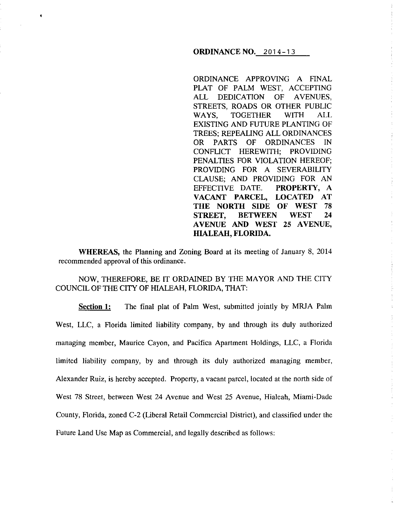### **ORDINANCE NO. 2014-13**

ORDINANCE APPROVING A FINAL PLAT OF PALM WEST, ACCEPTING ALL DEDICATION OF AVENUES, STREETS, ROADS OR OTHER PUBLIC WAYS, TOGETHER WITH ALL EXISTING AND FUTURE PLANTING OF TREES; REPEALING ALL ORDINANCES OR PARTS OF ORDINANCES IN CONFLICT HEREWITH; PROVIDING PENALTIES FOR VIOLATION HEREOF; PROVIDING FOR A SEVERABILITY CLAUSE; AND PROVIDING FOR AN EFFECTIVE DATE. **PROPERTY, A VACANT PARCEL, LOCATED AT THE NORTH SIDE OF WEST** 78 **STREET, BETWEEN WEST 24 A VENUE AND WEST 25 A VENUE, HIALEAH, FLORIDA.** 

**WHEREAS,** the Planning and Zoning Board at its meeting of January 8, 2014 recommended approval of this ordinance.

•

# NOW, THEREFORE, BE IT ORDAINED BY THE MAYOR AND THE CITY COUNCIL OF THE CITY OF HIALEAH, FLORIDA, THAT:

**Section 1:** The final plat of Palm West, submitted jointly by MRJA Palm West, LLC, a Florida limited liability company, by and through its duly authorized managing member, Maurice Cayon, and Pacifica Apartment Holdings, LLC, a Florida limited liability company, by and through its duly authorized managing member, Alexander Ruiz, is hereby accepted. Property, a vacant parcel, located at the north side of West 78 Street, between West 24 Avenue and West 25 Avenue, Hialeah, Miami-Dade County, Florida, zoned C-2 (Liberal Retail Commercial District), and classified under the Future Land Use Map as Commercial, and legally described as follows: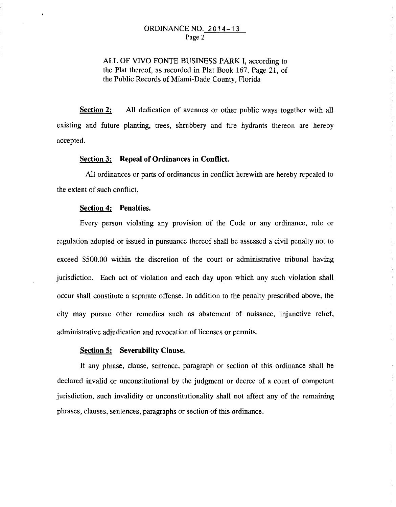ALL OF VIVO FONTE BUSINESS PARK I, according to the Plat thereof, as recorded in Plat Book 167, Page 21, of the Public Records of Miami-Dade County, Florida

**Section 2:** All dedication of avenues or other public ways together with all existing and future planting, trees, shrubbery and fire hydrants thereon are hereby accepted.

### **Section 3: Repeal of Ordinances in Conflict.**

All ordinances or parts of ordinances in conflict herewith are hereby repealed to the extent of such conflict.

#### **Section 4: Penalties.**

Every person violating any provision of the Code or any ordinance, rule or regulation adopted or issued in pursuance thereof shall be assessed a civil penalty not to exceed \$500.00 within the discretion of the court or administrative tribunal having jurisdiction. Each act of violation and each day upon which any such violation shall occur shall constitute a separate offense. In addition to the penalty prescribed above, the city may pursue other remedies such as abatement of nuisance, injunctive relief, administrative adjudication and revocation of licenses or permits.

 $\mathcal{L}$ Ŷ.

#### **Section 5: Severability Clause.**

If any phrase, clause, sentence, paragraph or section of this ordinance shall be declared invalid or unconstitutional by the judgment or decree of a court of competent jurisdiction, such invalidity or unconstitutionality shall not affect any of the remaining phrases, clauses, sentences, paragraphs or section of this ordinance.